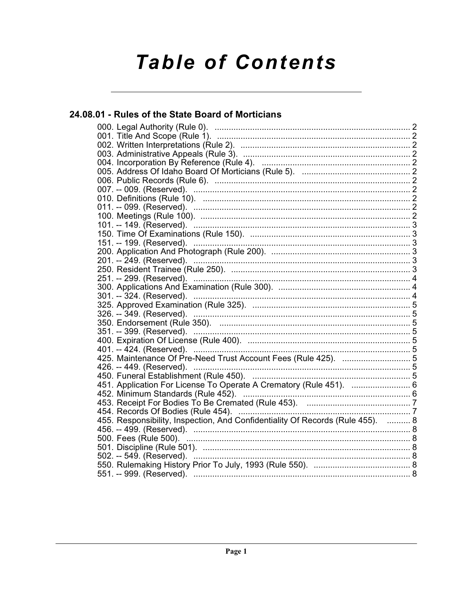# **Table of Contents**

## 24.08.01 - Rules of the State Board of Morticians

| 151. -- 199. (Reserved).                                                       |
|--------------------------------------------------------------------------------|
|                                                                                |
|                                                                                |
|                                                                                |
|                                                                                |
|                                                                                |
|                                                                                |
|                                                                                |
|                                                                                |
|                                                                                |
|                                                                                |
|                                                                                |
|                                                                                |
| 425. Maintenance Of Pre-Need Trust Account Fees (Rule 425).  5                 |
| 426. -- 449. (Reserved). …………………………………………………………………………………5                      |
|                                                                                |
| 451. Application For License To Operate A Crematory (Rule 451).  6             |
|                                                                                |
|                                                                                |
|                                                                                |
| 455. Responsibility, Inspection, And Confidentiality Of Records (Rule 455).  8 |
|                                                                                |
|                                                                                |
|                                                                                |
|                                                                                |
|                                                                                |
|                                                                                |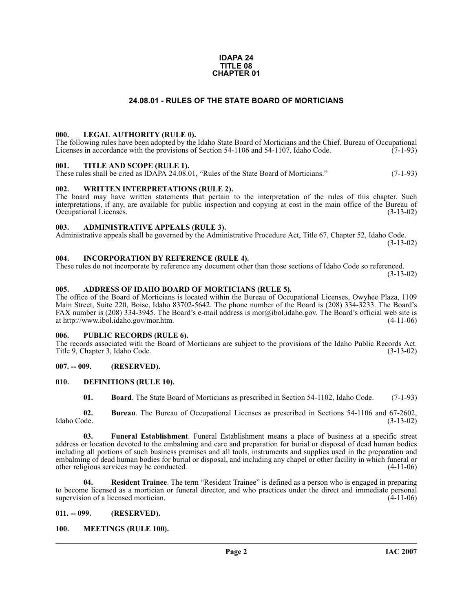#### **IDAPA 24 TITLE 08 CHAPTER 01**

### **24.08.01 - RULES OF THE STATE BOARD OF MORTICIANS**

#### <span id="page-1-1"></span><span id="page-1-0"></span>**000. LEGAL AUTHORITY (RULE 0).**

The following rules have been adopted by the Idaho State Board of Morticians and the Chief, Bureau of Occupational Licenses in accordance with the provisions of Section 54-1106 and 54-1107, Idaho Code.  $(7-1-93)$ 

#### <span id="page-1-2"></span>**001. TITLE AND SCOPE (RULE 1).**

These rules shall be cited as IDAPA 24.08.01, "Rules of the State Board of Morticians." (7-1-93)

### <span id="page-1-3"></span>**002. WRITTEN INTERPRETATIONS (RULE 2).**

The board may have written statements that pertain to the interpretation of the rules of this chapter. Such interpretations, if any, are available for public inspection and copying at cost in the main office of the Bureau of Occupational Licenses. (3-13-02) Occupational Licenses.

#### <span id="page-1-4"></span>**003. ADMINISTRATIVE APPEALS (RULE 3).**

Administrative appeals shall be governed by the Administrative Procedure Act, Title 67, Chapter 52, Idaho Code. (3-13-02)

<span id="page-1-5"></span>**004. INCORPORATION BY REFERENCE (RULE 4).**

These rules do not incorporate by reference any document other than those sections of Idaho Code so referenced. (3-13-02)

### <span id="page-1-6"></span>**005. ADDRESS OF IDAHO BOARD OF MORTICIANS (RULE 5).**

[The office of the Board of Morticians is located within the Bureau of Occupational Licenses, Owyhee Plaza, 1109](mailto:mor@ibol.idaho.gov)  Main Street, Suite 220, Boise, Idaho 83702-5642. The phone number of the Board is (208) 334-3233. The Board's FAX number is (208) 334-3945. The Board's e-mail address is mor@ibol.idaho.gov. The Board's official web site is [at](mailto:mor@ibol.idaho.gov) [http://www.ibol.idaho.gov/mor.htm. \(4-11-06\)](http://www.ibol.idaho.gov/mor.htm)

#### <span id="page-1-7"></span>**006. PUBLIC RECORDS (RULE 6).**

The records associated with the Board of Morticians are subject to the provisions of the Idaho Public Records Act.<br>Title 9. Chapter 3. Idaho Code. (3-13-02) Title 9, Chapter 3, Idaho Code.

### <span id="page-1-8"></span>**007. -- 009. (RESERVED).**

### <span id="page-1-9"></span>**010. DEFINITIONS (RULE 10).**

<span id="page-1-12"></span>**01. Board**. The State Board of Morticians as prescribed in Section 54-1102, Idaho Code. (7-1-93)

**02. Bureau**. The Bureau of Occupational Licenses as prescribed in Sections 54-1106 and 67-2602, Idaho Code. (3-13-02)

**03. Funeral Establishment**. Funeral Establishment means a place of business at a specific street address or location devoted to the embalming and care and preparation for burial or disposal of dead human bodies including all portions of such business premises and all tools, instruments and supplies used in the preparation and embalming of dead human bodies for burial or disposal, and including any chapel or other facility in which funeral or other religious services may be conducted.  $(4-11-06)$ other religious services may be conducted.

**04. Resident Trainee**. The term "Resident Trainee" is defined as a person who is engaged in preparing to become licensed as a mortician or funeral director, and who practices under the direct and immediate personal supervision of a licensed mortician. supervision of a licensed mortician.

### <span id="page-1-10"></span>**011. -- 099. (RESERVED).**

### <span id="page-1-13"></span><span id="page-1-11"></span>**100. MEETINGS (RULE 100).**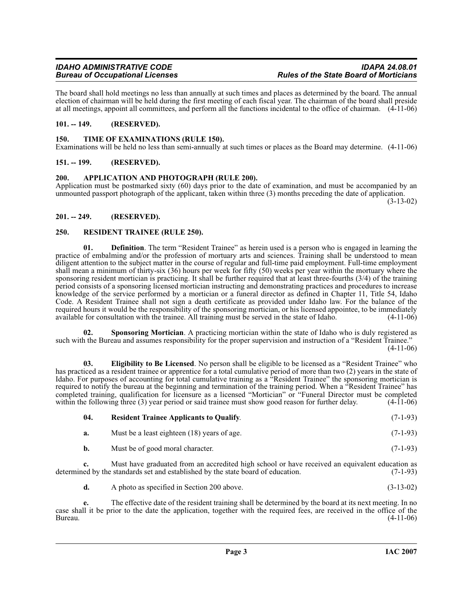## **Bureau of Occupational Licenses**

The board shall hold meetings no less than annually at such times and places as determined by the board. The annual election of chairman will be held during the first meeting of each fiscal year. The chairman of the board shall preside at all meetings, appoint all committees, and perform all the functions incidental to the office of chairman. (4-11-06)

### <span id="page-2-0"></span>**101. -- 149. (RESERVED).**

### <span id="page-2-11"></span><span id="page-2-1"></span>**150. TIME OF EXAMINATIONS (RULE 150).**

Examinations will be held no less than semi-annually at such times or places as the Board may determine. (4-11-06)

### <span id="page-2-2"></span>**151. -- 199. (RESERVED).**

### <span id="page-2-6"></span><span id="page-2-3"></span>**200. APPLICATION AND PHOTOGRAPH (RULE 200).**

Application must be postmarked sixty (60) days prior to the date of examination, and must be accompanied by an unmounted passport photograph of the applicant, taken within three (3) months preceding the date of application.

(3-13-02)

### <span id="page-2-4"></span>**201. -- 249. (RESERVED).**

### <span id="page-2-8"></span><span id="page-2-5"></span>**250. RESIDENT TRAINEE (RULE 250).**

**01. Definition**. The term "Resident Trainee" as herein used is a person who is engaged in learning the practice of embalming and/or the profession of mortuary arts and sciences. Training shall be understood to mean diligent attention to the subject matter in the course of regular and full-time paid employment. Full-time employment shall mean a minimum of thirty-six (36) hours per week for fifty (50) weeks per year within the mortuary where the sponsoring resident mortician is practicing. It shall be further required that at least three-fourths (3/4) of the training period consists of a sponsoring licensed mortician instructing and demonstrating practices and procedures to increase knowledge of the service performed by a mortician or a funeral director as defined in Chapter 11, Title 54, Idaho Code. A Resident Trainee shall not sign a death certificate as provided under Idaho law. For the balance of the required hours it would be the responsibility of the sponsoring mortician, or his licensed appointee, to be immediately available for consultation with the trainee. All training must be served in the state of Idaho. (4-11-06)

<span id="page-2-10"></span>**02. Sponsoring Mortician**. A practicing mortician within the state of Idaho who is duly registered as such with the Bureau and assumes responsibility for the proper supervision and instruction of a "Resident Trainee."  $(4-11-06)$ 

<span id="page-2-7"></span>**03. Eligibility to Be Licensed**. No person shall be eligible to be licensed as a "Resident Trainee" who has practiced as a resident trainee or apprentice for a total cumulative period of more than two (2) years in the state of Idaho. For purposes of accounting for total cumulative training as a "Resident Trainee" the sponsoring mortician is required to notify the bureau at the beginning and termination of the training period. When a "Resident Trainee" has completed training, qualification for licensure as a licensed "Mortician" or "Funeral Director must be completed within the following three (3) year period or said trainee must show good reason for further delay. (4-11-06) within the following three  $(3)$  year period or said trainee must show good reason for further delay.

<span id="page-2-9"></span>

| -04. | <b>Resident Trainee Applicants to Qualify.</b> | $(7-1-93)$ |
|------|------------------------------------------------|------------|
| а.   | Must be a least eighteen (18) years of age.    | $(7-1-93)$ |
| b.   | Must be of good moral character.               | $(7-1-93)$ |

**c.** Must have graduated from an accredited high school or have received an equivalent education as ed by the standards set and established by the state board of education. (7-1-93) determined by the standards set and established by the state board of education.

**d.** A photo as specified in Section 200 above. (3-13-02)

**e.** The effective date of the resident training shall be determined by the board at its next meeting. In no case shall it be prior to the date the application, together with the required fees, are received in the office of the Bureau. (4-11-06)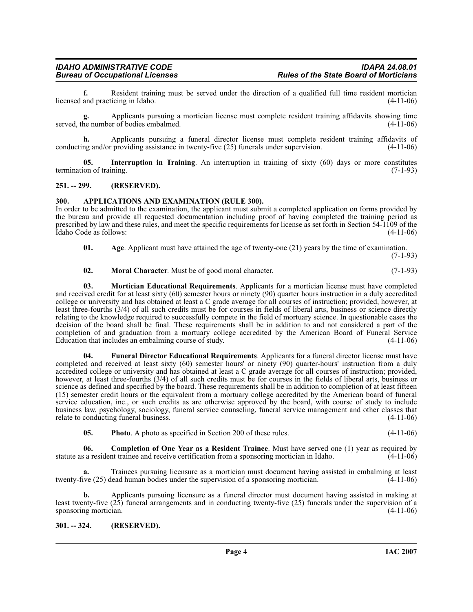**f.** Resident training must be served under the direction of a qualified full time resident mortician and practicing in Idaho. (4-11-06) licensed and practicing in Idaho.

Applicants pursuing a mortician license must complete resident training affidavits showing time<br>er of bodies embalmed. (4-11-06) served, the number of bodies embalmed.

**h.** Applicants pursuing a funeral director license must complete resident training affidavits of ng and/or providing assistance in twenty-five (25) funerals under supervision. (4-11-06) conducting and/or providing assistance in twenty-five  $(25)$  funerals under supervision.

<span id="page-3-7"></span>**05. Interruption in Training**. An interruption in training of sixty (60) days or more constitutes on of training. (7-1-93) termination of training.

### <span id="page-3-0"></span>**251. -- 299. (RESERVED).**

### <span id="page-3-4"></span><span id="page-3-1"></span>**300. APPLICATIONS AND EXAMINATION (RULE 300).**

In order to be admitted to the examination, the applicant must submit a completed application on forms provided by the bureau and provide all requested documentation including proof of having completed the training period as prescribed by law and these rules, and meet the specific requirements for license as set forth in Section 54-1109 of the Idaho Code as follows: (4-11-06)

<span id="page-3-3"></span>**01.** Age. Applicant must have attained the age of twenty-one (21) years by the time of examination.

(7-1-93)

### <span id="page-3-9"></span><span id="page-3-8"></span>**02. Moral Character**. Must be of good moral character. (7-1-93)

**03. Mortician Educational Requirements**. Applicants for a mortician license must have completed and received credit for at least sixty (60) semester hours or ninety (90) quarter hours instruction in a duly accredited college or university and has obtained at least a C grade average for all courses of instruction; provided, however, at least three-fourths (3/4) of all such credits must be for courses in fields of liberal arts, business or science directly relating to the knowledge required to successfully compete in the field of mortuary science. In questionable cases the decision of the board shall be final. These requirements shall be in addition to and not considered a part of the completion of and graduation from a mortuary college accredited by the American Board of Funeral Service Education that includes an embalming course of study. (4-11-06)

<span id="page-3-6"></span>**04. Funeral Director Educational Requirements**. Applicants for a funeral director license must have completed and received at least sixty (60) semester hours' or ninety (90) quarter-hours' instruction from a duly accredited college or university and has obtained at least a C grade average for all courses of instruction; provided, however, at least three-fourths (3/4) of all such credits must be for courses in the fields of liberal arts, business or science as defined and specified by the board. These requirements shall be in addition to completion of at least fifteen (15) semester credit hours or the equivalent from a mortuary college accredited by the American board of funeral service education, inc., or such credits as are otherwise approved by the board, with course of study to include business law, psychology, sociology, funeral service counseling, funeral service management and other classes that relate to conducting funeral business. (4-11-06)

<span id="page-3-10"></span><span id="page-3-5"></span>**05. Photo**. A photo as specified in Section 200 of these rules. (4-11-06)

**06. Completion of One Year as a Resident Trainee**. Must have served one (1) year as required by statute as a resident trainee and receive certification from a sponsoring mortician in Idaho. (4-11-06)

**a.** Trainees pursuing licensure as a mortician must document having assisted in embalming at least ive (25) dead human bodies under the supervision of a sponsoring mortician. (4-11-06) twenty-five (25) dead human bodies under the supervision of a sponsoring mortician.

**b.** Applicants pursuing licensure as a funeral director must document having assisted in making at least twenty-five  $(25)$  funeral arrangements and in conducting twenty-five  $(25)$  funerals under the supervision of a sponsoring mortician.  $(4-11-06)$ sponsoring mortician.

### <span id="page-3-2"></span>**301. -- 324. (RESERVED).**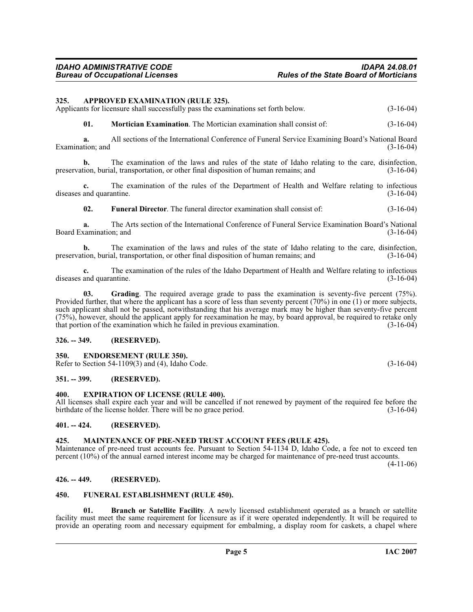<span id="page-4-9"></span><span id="page-4-0"></span>**325. APPROVED EXAMINATION (RULE 325).**

**b.** The examination of the laws and rules of the state of Idaho relating to the care, disinfection, tion, burial, transportation, or other final disposition of human remains; and (3-16-04) preservation, burial, transportation, or other final disposition of human remains; and

Applicants for licensure shall successfully pass the examinations set forth below.  $(3-16-04)$ 

**c.** The examination of the rules of the Department of Health and Welfare relating to infectious and quarantine. (3-16-04) diseases and quarantine.

**02. Funeral Director**. The funeral director examination shall consist of: (3-16-04)

**a.** The Arts section of the International Conference of Funeral Service Examination Board's National Board Examination; and (3-16-04)

**b.** The examination of the laws and rules of the state of Idaho relating to the care, disinfection, ion, burial, transportation, or other final disposition of human remains; and (3-16-04) preservation, burial, transportation, or other final disposition of human remains; and

**c.** The examination of the rules of the Idaho Department of Health and Welfare relating to infectious and quarantine. (3-16-04) diseases and quarantine.

<span id="page-4-14"></span>**03. Grading**. The required average grade to pass the examination is seventy-five percent (75%). Provided further, that where the applicant has a score of less than seventy percent (70%) in one (1) or more subjects, such applicant shall not be passed, notwithstanding that his average mark may be higher than seventy-five percent (75%), however, should the applicant apply for reexamination he may, by board approval, be required to retake only that portion of the examination which he failed in previous examination.

### <span id="page-4-1"></span>**326. -- 349. (RESERVED).**

### <span id="page-4-11"></span><span id="page-4-2"></span>**350. ENDORSEMENT (RULE 350).**

Refer to Section 54-1109(3) and (4), Idaho Code.  $(3-16-04)$ 

### <span id="page-4-3"></span>**351. -- 399. (RESERVED).**

### <span id="page-4-12"></span><span id="page-4-4"></span>**400. EXPIRATION OF LICENSE (RULE 400).**

All licenses shall expire each year and will be cancelled if not renewed by payment of the required fee before the birthdate of the license holder. There will be no grace period. (3-16-04) birthdate of the license holder. There will be no grace period.

### <span id="page-4-5"></span>**401. -- 424. (RESERVED).**

### <span id="page-4-15"></span><span id="page-4-6"></span>**425. MAINTENANCE OF PRE-NEED TRUST ACCOUNT FEES (RULE 425).**

Maintenance of pre-need trust accounts fee. Pursuant to Section 54-1134 D, Idaho Code, a fee not to exceed ten percent (10%) of the annual earned interest income may be charged for maintenance of pre-need trust accounts. (4-11-06)

### <span id="page-4-7"></span>**426. -- 449. (RESERVED).**

### <span id="page-4-13"></span><span id="page-4-8"></span>**450. FUNERAL ESTABLISHMENT (RULE 450).**

<span id="page-4-10"></span>**01. Branch or Satellite Facility**. A newly licensed establishment operated as a branch or satellite facility must meet the same requirement for licensure as if it were operated independently. It will be required to provide an operating room and necessary equipment for embalming, a display room for caskets, a chapel where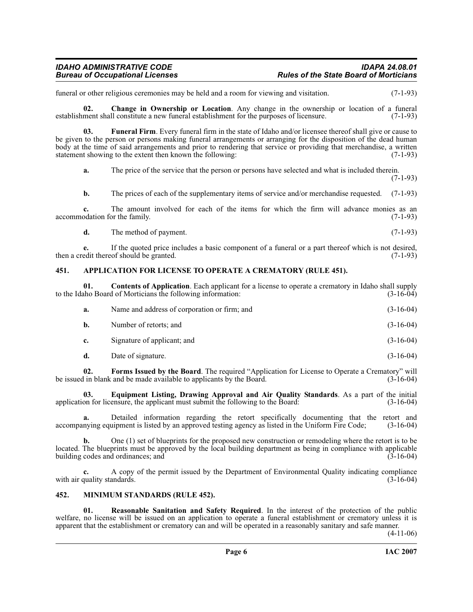funeral or other religious ceremonies may be held and a room for viewing and visitation. (7-1-93)

<span id="page-5-3"></span>**02.** Change in Ownership or Location. Any change in the ownership or location of a funeral ment shall constitute a new funeral establishment for the purposes of licensure. (7-1-93) establishment shall constitute a new funeral establishment for the purposes of licensure.

**03. Funeral Firm**. Every funeral firm in the state of Idaho and/or licensee thereof shall give or cause to be given to the person or persons making funeral arrangements or arranging for the disposition of the dead human body at the time of said arrangements and prior to rendering that service or providing that merchandise, a written statement showing to the extent then known the following: (7-1-93)

<span id="page-5-8"></span>**a.** The price of the service that the person or persons have selected and what is included therein. (7-1-93)

**b.** The prices of each of the supplementary items of service and/or merchandise requested. (7-1-93)

**c.** The amount involved for each of the items for which the firm will advance monies as an odation for the family. (7-1-93) accommodation for the family.

**d.** The method of payment. (7-1-93)

**e.** If the quoted price includes a basic component of a funeral or a part thereof which is not desired, (7-1-93) then a credit thereof should be granted.

### <span id="page-5-2"></span><span id="page-5-0"></span>**451. APPLICATION FOR LICENSE TO OPERATE A CREMATORY (RULE 451).**

**01. Contents of Application**. Each applicant for a license to operate a crematory in Idaho shall supply aho Board of Morticians the following information: (3-16-04) to the Idaho Board of Morticians the following information:

<span id="page-5-4"></span>

| а. | Name and address of corporation or firm; and | $(3-16-04)$ |
|----|----------------------------------------------|-------------|
| b. | Number of retorts; and                       | $(3-16-04)$ |
| c. | Signature of applicant; and                  | $(3-16-04)$ |
| d. | Date of signature.                           | $(3-16-04)$ |

<span id="page-5-7"></span>**02.** Forms Issued by the Board. The required "Application for License to Operate a Crematory" will in blank and be made available to applicants by the Board. (3-16-04) be issued in blank and be made available to applicants by the Board.

<span id="page-5-6"></span>**03. Equipment Listing, Drawing Approval and Air Quality Standards**. As a part of the initial on for licensure, the applicant must submit the following to the Board: (3-16-04) application for licensure, the applicant must submit the following to the Board:

**a.** Detailed information regarding the retort specifically documenting that the retort and nying equipment is listed by an approved testing agency as listed in the Uniform Fire Code:  $(3-16-04)$ accompanying equipment is listed by an approved testing agency as listed in the Uniform Fire Code;

**b.** One (1) set of blueprints for the proposed new construction or remodeling where the retort is to be located. The blueprints must be approved by the local building department as being in compliance with applicable building codes and ordinances; and  $(3-16-04)$ 

**c.** A copy of the permit issued by the Department of Environmental Quality indicating compliance with air quality standards.

### <span id="page-5-5"></span><span id="page-5-1"></span>**452. MINIMUM STANDARDS (RULE 452).**

<span id="page-5-9"></span>**01. Reasonable Sanitation and Safety Required**. In the interest of the protection of the public welfare, no license will be issued on an application to operate a funeral establishment or crematory unless it is apparent that the establishment or crematory can and will be operated in a reasonably sanitary and safe manner.

(4-11-06)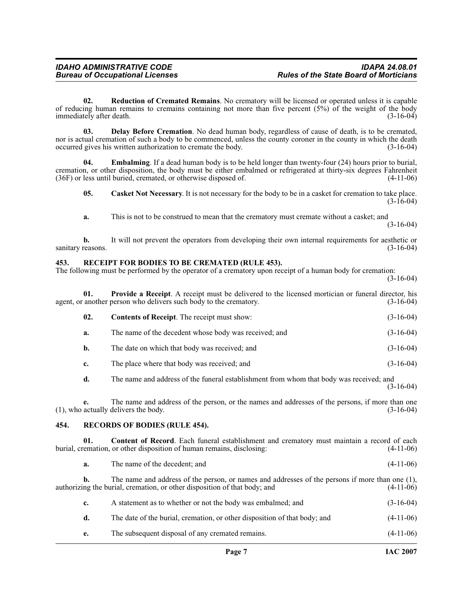<span id="page-6-9"></span>**02. Reduction of Cremated Remains**. No crematory will be licensed or operated unless it is capable of reducing human remains to cremains containing not more than five percent (5%) of the weight of the body<br>(3-16-04) immediately after death. immediately after death.

<span id="page-6-4"></span>**03. Delay Before Cremation**. No dead human body, regardless of cause of death, is to be cremated, nor is actual cremation of such a body to be commenced, unless the county coroner in the county in which the death occurred gives his written authorization to cremate the body.  $(3-16-04)$ occurred gives his written authorization to cremate the body.

**Embalming**. If a dead human body is to be held longer than twenty-four (24) hours prior to burial, cremation, or other disposition, the body must be either embalmed or refrigerated at thirty-six degrees Fahrenheit (36F) or less until buried, cremated, or otherwise disposed of. (4-11-06)  $(36F)$  or less until buried, cremated, or otherwise disposed of.

<span id="page-6-5"></span><span id="page-6-2"></span>**05. Casket Not Necessary**. It is not necessary for the body to be in a casket for cremation to take place. (3-16-04)

**a.** This is not to be construed to mean that the crematory must cremate without a casket; and (3-16-04)

**b.** It will not prevent the operators from developing their own internal requirements for aesthetic or reasons.  $(3-16-04)$ sanitary reasons.

### <span id="page-6-7"></span><span id="page-6-0"></span>**453. RECEIPT FOR BODIES TO BE CREMATED (RULE 453).**

The following must be performed by the operator of a crematory upon receipt of a human body for cremation:

(3-16-04)

**01. Provide a Receipt**. A receipt must be delivered to the licensed mortician or funeral director, his another person who delivers such body to the crematory. (3-16-04) agent, or another person who delivers such body to the crematory.

<span id="page-6-6"></span>

| 02. | <b>Contents of Receipt.</b> The receipt must show:    | $(3-16-04)$ |
|-----|-------------------------------------------------------|-------------|
| a.  | The name of the decedent whose body was received; and | $(3-16-04)$ |
| b.  | The date on which that body was received; and         | $(3-16-04)$ |
| c.  | The place where that body was received; and           | $(3-16-04)$ |

**d.** The name and address of the funeral establishment from whom that body was received; and (3-16-04)

**e.** The name and address of the person, or the names and addresses of the persons, if more than one actually delivers the body. (3-16-04)  $(1)$ , who actually delivers the body.

### <span id="page-6-8"></span><span id="page-6-1"></span>**454. RECORDS OF BODIES (RULE 454).**

**01.** Content of Record. Each funeral establishment and crematory must maintain a record of each remation, or other disposition of human remains, disclosing: (4-11-06) burial, cremation, or other disposition of human remains, disclosing:

<span id="page-6-3"></span>

| a. | The name of the decedent; and | $(4-11-06)$ |
|----|-------------------------------|-------------|
|----|-------------------------------|-------------|

**b.** The name and address of the person, or names and addresses of the persons if more than one (1), authorizing the burial, cremation, or other disposition of that body; and (4-11-06) **c.** A statement as to whether or not the body was embalmed; and  $(3-16-04)$ **d.** The date of the burial, cremation, or other disposition of that body; and  $(4-11-06)$ 

**e.** The subsequent disposal of any cremated remains. (4-11-06)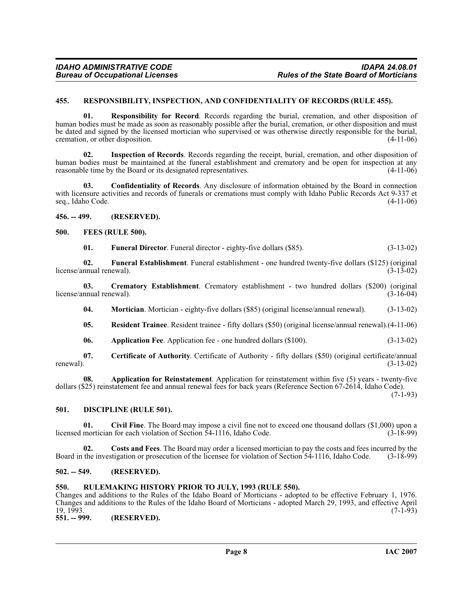### <span id="page-7-17"></span><span id="page-7-0"></span>**455. RESPONSIBILITY, INSPECTION, AND CONFIDENTIALITY OF RECORDS (RULE 455).**

**01. Responsibility for Record**. Records regarding the burial, cremation, and other disposition of human bodies must be made as soon as reasonably possible after the burial, cremation, or other disposition and must be dated and signed by the licensed mortician who supervised or was otherwise directly responsible for the burial, cremation, or other disposition. (4-11-06) cremation, or other disposition.

**02. Inspection of Records**. Records regarding the receipt, burial, cremation, and other disposition of human bodies must be maintained at the funeral establishment and crematory and be open for inspection at any reasonable time by the Board or its designated representatives. (4-11-06) reasonable time by the Board or its designated representatives.

**03. Confidentiality of Records**. Any disclosure of information obtained by the Board in connection with licensure activities and records of funerals or cremations must comply with Idaho Public Records Act 9-337 et seq., Idaho Code. (4-11-06)

<span id="page-7-1"></span>**456. -- 499. (RESERVED).**

### <span id="page-7-2"></span>**500. FEES (RULE 500).**

<span id="page-7-13"></span><span id="page-7-12"></span><span id="page-7-11"></span>**01. Funeral Director**. Funeral director - eighty-five dollars (\$85). (3-13-02)

**02. Funeral Establishment**. Funeral establishment - one hundred twenty-five dollars (\$125) (original license/annual renewal).

**03.** Crematory Establishment. Crematory establishment - two hundred dollars (\$200) (original nnual renewal). (3-16-04) license/annual renewal).

<span id="page-7-14"></span><span id="page-7-9"></span>**04. Mortician.** Mortician - eighty-five dollars (\$85) (original license/annual renewal). (3-13-02)

<span id="page-7-16"></span>**05. Resident Trainee**. Resident trainee - fifty dollars (\$50) (original license/annual renewal).(4-11-06)

<span id="page-7-15"></span><span id="page-7-7"></span>**06. Application Fee**. Application fee - one hundred dollars (\$100). (3-13-02)

**07.** Certificate of Authority. Certificate of Authority - fifty dollars (\$50) (original certificate/annual renewal).  $(3-13-02)$ renewal).  $(3-13-02)$ 

**08. Application for Reinstatement**. Application for reinstatement within five (5) years - twenty-five dollars (\$25) reinstatement fee and annual renewal fees for back years (Reference Section 67-2614, Idaho Code).  $(7-1-93)$ 

### <span id="page-7-10"></span><span id="page-7-3"></span>**501. DISCIPLINE (RULE 501).**

<span id="page-7-8"></span>**01.** Civil Fine. The Board may impose a civil fine not to exceed one thousand dollars (\$1,000) upon a mortician for each violation of Section 54-1116, Idaho Code. (3-18-99) licensed mortician for each violation of Section  $\overline{5}4$ -1116, Idaho Code.

**02. Costs and Fees**. The Board may order a licensed mortician to pay the costs and fees incurred by the Board in the investigation or prosecution of the licensee for violation of Section 54-1116, Idaho Code. (3-18-99)

### <span id="page-7-4"></span>**502. -- 549. (RESERVED).**

### <span id="page-7-5"></span>**550. RULEMAKING HISTORY PRIOR TO JULY, 1993 (RULE 550).**

Changes and additions to the Rules of the Idaho Board of Morticians - adopted to be effective February 1, 1976. Changes and additions to the Rules of the Idaho Board of Morticians - adopted March 29, 1993, and effective April  $19, 1993.$  (7-1-93)

<span id="page-7-6"></span>**551. -- 999. (RESERVED).**